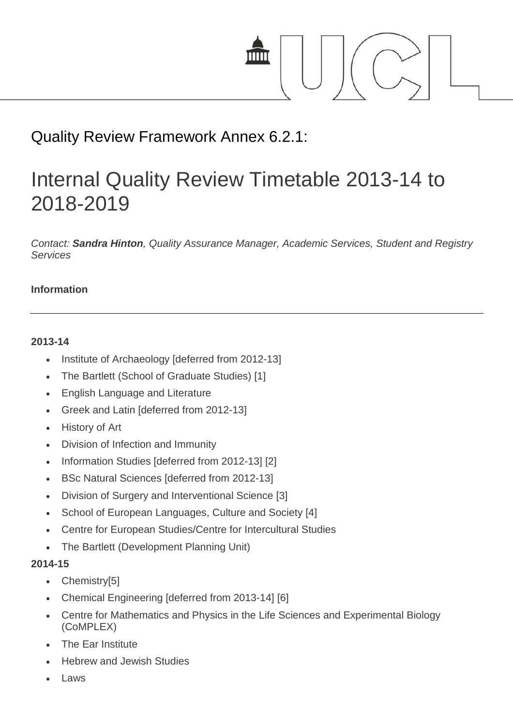

# Quality Review Framework Annex 6.2.1:

# Internal Quality Review Timetable 2013-14 to 2018-2019

*Contact: Sandra Hinton, Quality Assurance Manager, Academic Services, Student and Registry Services*

### **Information**

#### **2013-14**

- Institute of Archaeology [deferred from 2012-13]
- The Bartlett (School of Graduate Studies) [1]
- English Language and Literature
- Greek and Latin [deferred from 2012-13]
- History of Art
- Division of Infection and Immunity
- Information Studies [deferred from 2012-13] [2]
- BSc Natural Sciences [deferred from 2012-13]
- Division of Surgery and Interventional Science [3]
- School of European Languages, Culture and Society [4]
- Centre for European Studies/Centre for Intercultural Studies
- The Bartlett (Development Planning Unit)

#### **2014-15**

- Chemistry[5]
- Chemical Engineering [deferred from 2013-14] [6]
- Centre for Mathematics and Physics in the Life Sciences and Experimental Biology (CoMPLEX)
- The Ear Institute
- Hebrew and Jewish Studies
- Laws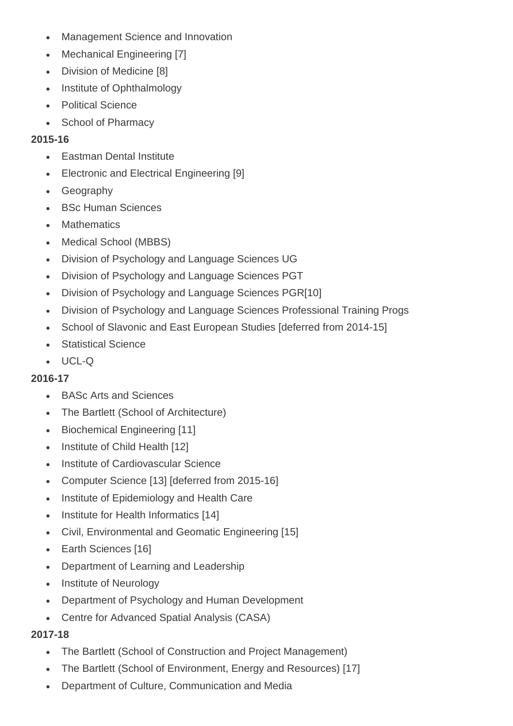- Management Science and Innovation
- Mechanical Engineering [7]
- Division of Medicine [8]
- Institute of Ophthalmology
- Political Science
- School of Pharmacy

## **2015-16**

- Eastman Dental Institute
- Electronic and Electrical Engineering [9]
- Geography
- BSc Human Sciences
- **Mathematics**
- Medical School (MBBS)
- Division of Psychology and Language Sciences UG
- Division of Psychology and Language Sciences PGT
- Division of Psychology and Language Sciences PGR[10]
- Division of Psychology and Language Sciences Professional Training Progs
- School of Slavonic and East European Studies [deferred from 2014-15]
- Statistical Science
- UCL-Q

# **2016-17**

- BASc Arts and Sciences
- The Bartlett (School of Architecture)
- Biochemical Engineering [11]
- Institute of Child Health [12]
- Institute of Cardiovascular Science
- Computer Science [13] [deferred from 2015-16]
- Institute of Epidemiology and Health Care
- Institute for Health Informatics [14]
- Civil, Environmental and Geomatic Engineering [15]
- Earth Sciences [16]
- Department of Learning and Leadership
- Institute of Neurology
- Department of Psychology and Human Development
- Centre for Advanced Spatial Analysis (CASA)

# **2017-18**

- The Bartlett (School of Construction and Project Management)
- The Bartlett (School of Environment, Energy and Resources) [17]
- Department of Culture, Communication and Media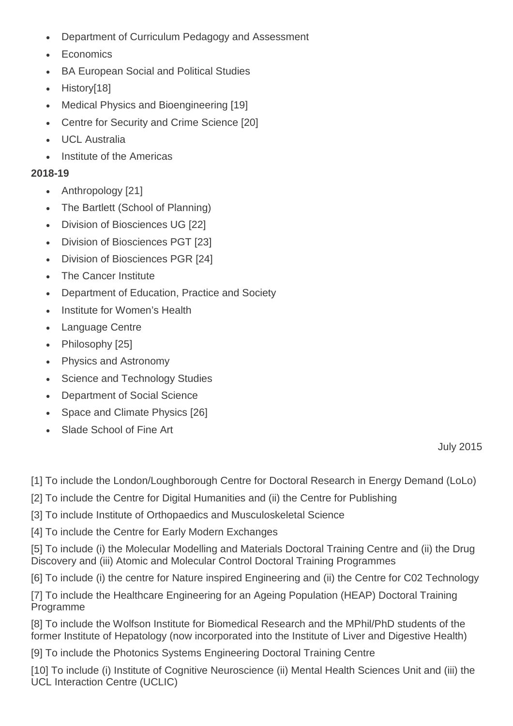- Department of Curriculum Pedagogy and Assessment
- **Economics**
- BA European Social and Political Studies
- History[18]
- Medical Physics and Bioengineering [19]
- Centre for Security and Crime Science [20]
- UCL Australia
- Institute of the Americas

# **2018-19**

- Anthropology [21]
- The Bartlett (School of Planning)
- Division of Biosciences UG [22]
- Division of Biosciences PGT [23]
- Division of Biosciences PGR [24]
- The Cancer Institute
- Department of Education, Practice and Society
- Institute for Women's Health
- Language Centre
- Philosophy [25]
- Physics and Astronomy
- Science and Technology Studies
- Department of Social Science
- Space and Climate Physics [26]
- Slade School of Fine Art

July 2015

[1] To include the London/Loughborough Centre for Doctoral Research in Energy Demand (LoLo)

- [2] To include the Centre for Digital Humanities and (ii) the Centre for Publishing
- [3] To include Institute of Orthopaedics and Musculoskeletal Science
- [4] To include the Centre for Early Modern Exchanges

[5] To include (i) the Molecular Modelling and Materials Doctoral Training Centre and (ii) the Drug Discovery and (iii) Atomic and Molecular Control Doctoral Training Programmes

[6] To include (i) the centre for Nature inspired Engineering and (ii) the Centre for C02 Technology

[7] To include the Healthcare Engineering for an Ageing Population (HEAP) Doctoral Training Programme

[8] To include the Wolfson Institute for Biomedical Research and the MPhil/PhD students of the former Institute of Hepatology (now incorporated into the Institute of Liver and Digestive Health)

[9] To include the Photonics Systems Engineering Doctoral Training Centre

[10] To include (i) Institute of Cognitive Neuroscience (ii) Mental Health Sciences Unit and (iii) the UCL Interaction Centre (UCLIC)